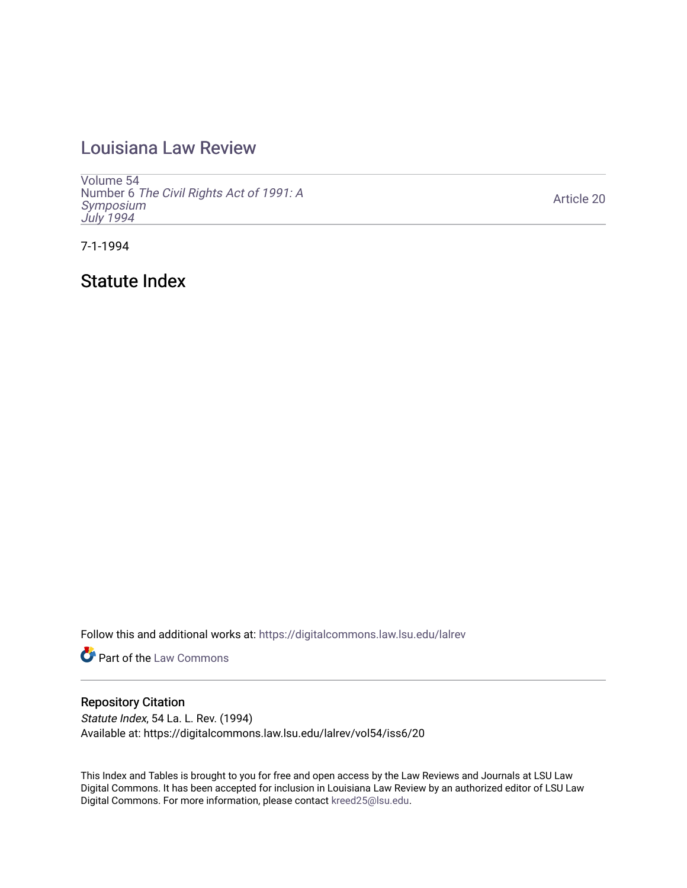# [Louisiana Law Review](https://digitalcommons.law.lsu.edu/lalrev)

[Volume 54](https://digitalcommons.law.lsu.edu/lalrev/vol54) Number 6 [The Civil Rights Act of 1991: A](https://digitalcommons.law.lsu.edu/lalrev/vol54/iss6) [Symposium](https://digitalcommons.law.lsu.edu/lalrev/vol54/iss6)  [July 1994](https://digitalcommons.law.lsu.edu/lalrev/vol54/iss6)

[Article 20](https://digitalcommons.law.lsu.edu/lalrev/vol54/iss6/20) 

7-1-1994

Statute Index

Follow this and additional works at: [https://digitalcommons.law.lsu.edu/lalrev](https://digitalcommons.law.lsu.edu/lalrev?utm_source=digitalcommons.law.lsu.edu%2Flalrev%2Fvol54%2Fiss6%2F20&utm_medium=PDF&utm_campaign=PDFCoverPages)

**Part of the [Law Commons](https://network.bepress.com/hgg/discipline/578?utm_source=digitalcommons.law.lsu.edu%2Flalrev%2Fvol54%2Fiss6%2F20&utm_medium=PDF&utm_campaign=PDFCoverPages)** 

## Repository Citation

Statute Index, 54 La. L. Rev. (1994) Available at: https://digitalcommons.law.lsu.edu/lalrev/vol54/iss6/20

This Index and Tables is brought to you for free and open access by the Law Reviews and Journals at LSU Law Digital Commons. It has been accepted for inclusion in Louisiana Law Review by an authorized editor of LSU Law Digital Commons. For more information, please contact [kreed25@lsu.edu.](mailto:kreed25@lsu.edu)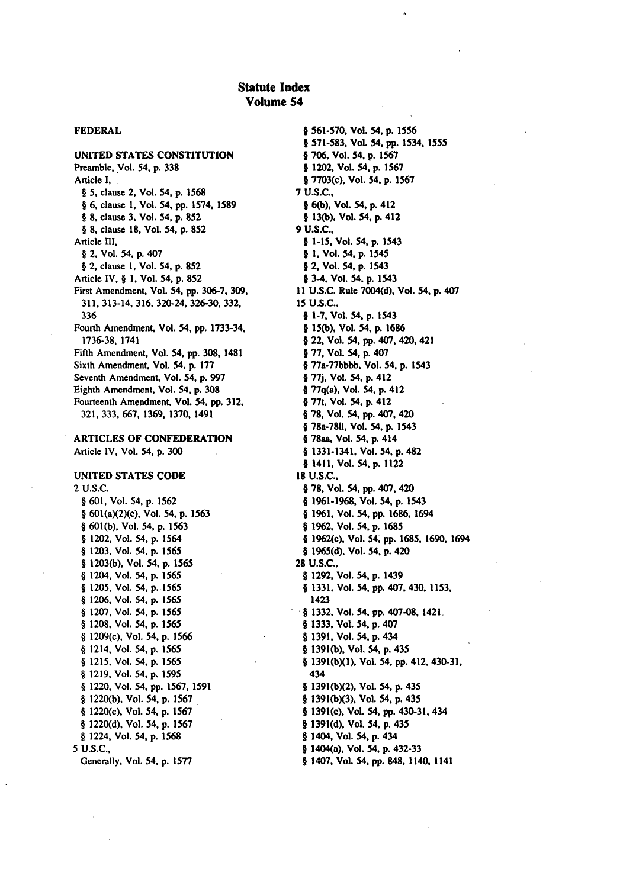## Statute Index Volume 54

**UNITED STATES CONSTITUTION**  Preamble, Vol. 54, **p. 338**  Article I, § **5,** clause 2, Vol. 54, **p. 1568**  § **6,** clause **1,** Vol. 54, **pp. 1574, 1589**  § **8,** clause **3,** Vol. 54, **p. 852**  § **8.** clause **18,** Vol. 54, **p. 852**  Article III, § 2, Vol. 54, **p.** 407 § 2, clause **1,** Vol. 54, **p. 852**  Article IV, § **1.** Vol. 54, **p. 852**  First Amendment, Vol. 54, **pp. 306-7, 309,**  311, 313-14, 316, 320-24, 326-30, 332, 336 Fourth Amendment, Vol. 54, **pp.** 1733-34, 1736-38, **1741**  Fifth Amendment, Vol. 54, **pp. 308,** 1481 Sixth Amendment, Vol. **54, p. 177**  Seventh Amendment, Vol. 54, **p. 997**  Eighth Amendment, Vol. 54, **p. 308**  Fourteenth Amendment, Vol. 54, **pp.** 312, 321, 333, 667, 1369, **1370,** 1491

**ARTICLES OF CONFEDERATION**  Article IV, Vol. **54, p.** 300

### **UNITED STATES CODE**  2 U.S.C.

§ 601, Vol. 54, **p.** 1562 § 601(a)(2)(c), Vol. 54, p. 1563 § 601(b), Vol. 54, p. 1563 § 1202, Vol. 54, **p.** 1564 § 1203, Vol. 54, p. 1565 § 1203(b), Vol. 54. p. 1565 § 1204, Vol. 54, p. 1565 § 1205, Vol. 54, p. 1565 § 1206, Vol. 54, p. 1565 § 1207, Vol. 54, p. 1565 § 1208, Vol. 54, p. 1565 § 1209(c), Vol. 54, p. 1566 § 1214, Vol. 54, p. 1565 § 1215, Vol. 54, p. 1565 § 1219, Vol. *54,* **p.** 1595 § 1220, Vol. 54, pp. 1567, 1591 § 1220(b), Vol. 54, p. 1567 § 1220(c), Vol. 54, **p.** 1567 § 1220(d), Vol. 54, p. 1567 § 1224, Vol. 54, p. 1568 5 **U.S.C.,**  Generally, Vol. 54, **p. 1577** 

**FEDERAL 1 561-570,** Vol. 54, **p.** 1556 **§ 571-583,** Vol. 54, **pp.** 1534, 1555 **\* 706, Vol. 54, p.** 1567 **§** 1202, Vol. 54, **p. 1567**  § 7703(c), Vol. 54. **p. 1567 7 U.S.C., § 6(b),** Vol. 54, **p.** 412 **§ 13(b),** Vol. 54, **p.** 412 **9 U.S.C., § 1-15,** Vol. 54, **p.** 1543 **§1.** Vol. **54, p.** 1545 **12.** Vol. 54. **p.** 1543 § 3-4, Vol. 54, **p.** 1543 **11 U.S.C.** Rule **7004(d).** Vol. 54, **p.** 407 15 **U.S.C., § 1-7.** Vol. 54, **p.** 1543 § **15(b),** Vol. 54, **p. 1686**  § 22, Vol. 54, **pp.** 407, 420, 421 § **77,** Vol. 54, **p.** 407 § 77a-77bbbb. Vol. 54, **p.** 1543 **§ 77j.** Vol. 54, **p.** 412 § 77q(a), Vol. 54, **p.** 412 § 77t Vol. 54. **p.** 412 \* *78.* Vol. 54, **pp.** 407, 420 **§** 78a-7811. Vol. 54, **p.** 1543 § 78aa, Vol. **54, p.** 414 11331-1341. Vol. 54. **p.** 482 **§1411.** Vol. 54, **p.** 1122 **18 U.S.C.,**  § **78,** Vol. **54. pp.** 407, 420 \* **1961-1968,** Vol. 54, **p.** 1543 § **1961,** Vol. **54, pp. 1686,** 1694 **§ 1962,** Vol. 54, **p. 1685 §** 1962(c), Vol. **54, pp. 1685, 1690,** 1694 § **1965(d).** Vol. 54, **p.** 420 28 **U.S.C.. §1292,** Vol. 54, **p.** 1439 **§1331,** Vol. 54. **pp.** 407, 430, **1153,**  1423 **§ 1332.** Vol. 54, **pp.** 407-08, 1421 § **1333.** Vol. 54, **p.** 407 4 3 4 **§ 1391,** Vol. 54, **p. § 1391(b),** Vol. 54, **p.** 435 **§ 1391(b)(1).** Vol. 54, **pp.** 412, 430-31. 434 § **1391(b)(2).** Vol. 54, **p.** 435 § **1391(b)(3),** Vol. 54, **p.** 435 § 1391(c), Vol. 54, **pp.** 430-31, 434 **§ 1391(d),** Vol. **54. p.** 435 § 1404. Vol. 54, **p.** 434 **§** 1404(a). Vol. **54. p.** 432-33 **§** 1407, Vol. 54, **pp. 848,** 1140, 1141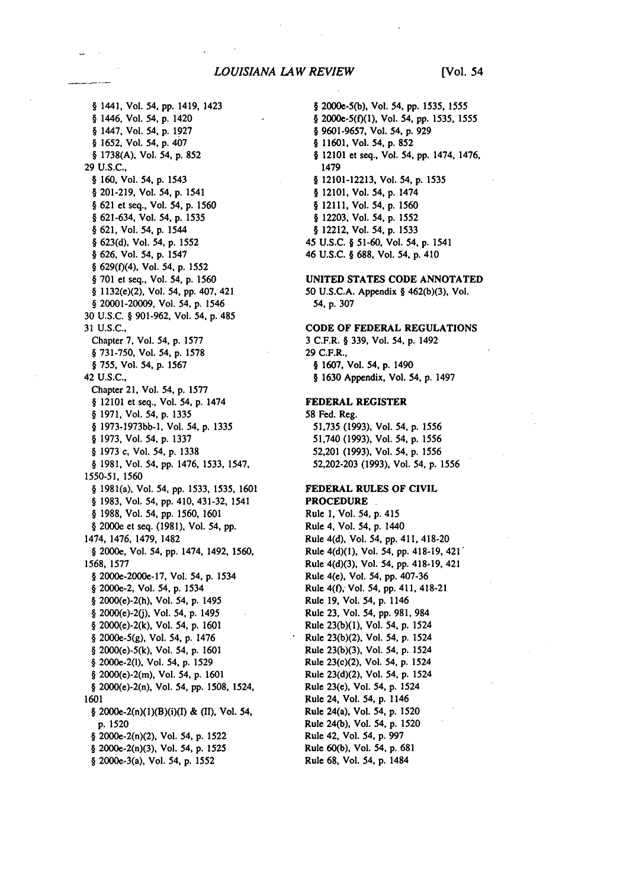### *LOUISIANA LAW REVIEW* [Vol. 54

§ 1441, Vol. 54, pp. 1419, 1423 § 1446. Vol. 54, p. 1420 § 1447, Vol. 54, **p. 1927**  § 1652, Vol. 54, p. 407 § 1738(A), Vol. 54, **p.** 852 29 U.S.C., § 160, Vol. 54, p. 1543 § 201-219, Vol. 54, **p.** 1541 § 621 et seq., Vol. 54, **p.** 1560 § 621-634, Vol. 54, **p.** 1535 § 621, Vol. 54, p. 1544 § 623(d), Vol. 54, **p.** 1552 § 626, Vol. 54, p. 1547 § 629(f)(4), Vol. 54, p. 1552 § **701** et seq., Vol. 54, **p.** 1560 § 1132(e)(2), Vol. 54, pp. 407, 421 § 20001-20009, Vol. 54, p. 1546 30 U.S.C. § 901-962, Vol. 54, p. 485 31 U.S.C., Chapter **7,** Vol. 54, **p. 1577**  § 731-750, Vol. 54, **p. 1578**  § 755, Vol. 54, **p.** 1567 42 **U.S.C.,**  Chapter 21, Vol. 54, **p. 1577**  § 12101 et seq., Vol. 54, **p.** 1474 § 1971, Vol. 54, **p.** 1335 § 1973-1973bb-1, Vol. 54, **p.** 1335 § 1973, Vol. 54, **p.** 1337 § 1973 c, Vol. 54, **p.** 1338 § 1981, Vol. 54, **pp.** 1476, 1533, 1547, 1550-51, 1560 § 1981(a), Vol. 54, **pp.** 1533, 1535, 1601 § 1983, Vol. 54, **pp.** 410, 431-32, 1541 § 1988, Vol. 54, pp. 1560, 1601 § 2000e et seq. (1981), Vol. 54, **pp.**  1474, 1476, 1479, 1482 § 2000e, Vol. 54, **pp.** 1474, 1492, 1560, 1568, **1577**  § 2000e-2000e-17, Vol. 54, **p.** 1534 § 2000e-2, Vol. 54, p. 1534 § 2000(e)-2(h), Vol. 54, **p.** 1495 § 2000(e)-2(j), Vol. 54, **p.** 1495 § 2000(e)-2(k), Vol. 54, **p.** 1601 § 2000e-5(g), Vol. 54, p. 1476 § 2000(e)-5(k), Vol. 54, p. 1601 § 2000e-2(l), Vol. 54, p. 1529 § 2000(e)-2(m), Vol. 54, **p.** 1601 § 2000(e)-2(n), Vol. 54, **pp. 1508,** 1524, 1601 **§** 2000e-2(n)(1)(B)(i)(1) & (II), Vol. 54, **p.** 1520 § 2000e-2(n)(2), Vol. 54, **p.** 1522 § 2000e-2(n)(3), Vol. 54, **p.** 1525

§ 2000e-3(a), Vol. 54, **p.** 1552

§ 2000e-5(b), Vol. 54, pp. 1535, 1555 § 2000e-5(f)(1), Vol. 54, pp. 1535, 1555 § 9601-9657, Vol. 54, **p.** 929 § 11601, Vol. 54, **p.** 852 § 12101 et seq., Vol. 54, pp. 1474, 1476, 1479 § 12101-12213, Vol. 54, **p.** 1535 § 12101, Vol. 54, **p.** 1474 § 12111, Vol. 54, p. 1560 § 12203, Vol. 54, p. 1552 § 12212, Vol. 54, **p.** 1533 **45 U.S.C.** § 51-60, Vol. 54, p. 1541 46 **U.S.C.** § **688,** Vol. 54, p. **410** 

**UNITED STATES CODE ANNOTATED 50 U.S.C.A.** Appendix § **462(b)(3),** Vol. 54, p. **307** 

**CODE OF FEDERAL REGULATIONS 3** C.F.R. § **339,** Vol. 54, p. 1492 **29** C.F.R., § 1607, Vol. 54, p. 1490 § 1630 Appendix, Vol. 54, p. 1497

### **FEDERAL REGISTER**

**58** Fed. Reg. **51,735 (1993),** Vol. 54, **p.** 1556 51,740 **(1993).** Vol. 54, **p.** 1556 **52,201 (1993),** Vol. **54, p.** 1556 **52,202-203 (1993),** Vol. 54, **p.** 1556

### **FEDERAL RULES OF CIVIL PROCEDURE**

Rule **1,** Vol. 54, **p.** 415 Rule 4, Vol. 54, **p.** 1440 Rule 4(d), Vol. 54, **pp.** 411, 418-20 Rule 4(d)(l), Vol. 54, **pp.** 418-19, **421'**  Rule 4(d)(3), Vol. 54, **pp.** 418-19, 421 Rule 4(e), Vol. 54, **pp. 407-36**  Rule **4(f),** Vol. 54, **pp.** 411, 418-21 Rule **19,** Vol. 54, **p.** 1146 Rule **23,** Vol. **54, pp. 981,** 984 Rule **23(b)(1),** Vol. 54, **p.** 1524 Rule 23(b)(2), Vol. 54, p. 1524 Rule 23(b)(3), Vol. 54, p. 1524 Rule 23(c)(2), Vol. 54, p. 1524 Rule 23(d)(2), Vol. 54, p. 1524 Rule 23(e), Vol. 54, p. 1524 Rule 24, Vol. 54, **p.** 1146 Rule 24(a), Vol. 54, **p.** 1520 Rule 24(b), Vol. 54, p. 1520 Rule 42, Vol. 54, p. 997 Rule 60(b), Vol. 54, **p.** 681 Rule 68, Vol. 54, p. 1484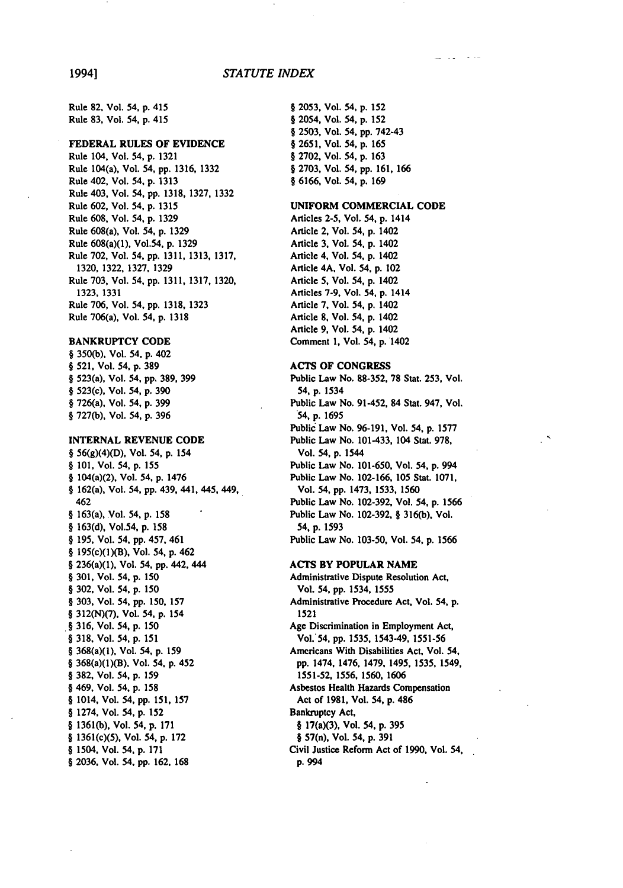Rule 82, Vol. 54, **p.** 415 Rule **83,** Vol. 54, **p.** 415

### FEDERAL **RULES** OF EVIDENCE

Rule 104, Vol. 54, **p. 1321**  Rule 104(a), Vol. 54, **pp. 1316, 1332**  Rule 402, Vol. 54, **p. 1313**  Rule 403, Vol. 54, **pp. 1318, 1327, 1332**  Rule **602,** Vol. 54, **p. 1315**  Rule **608,** Vol. 54, **p. 1329**  Rule 608(a), Vol. **54, p. 1329**  Rule 608(a)(1), Vol.54, **p. 1329**  Rule **702,** Vol. 54, **pp. 1311, 1313, 1317, 1320, 1322, 1327, 1329**  Rule **703,** Vol. 54, **pp. 1311, 1317, 1320, 1323, 1331**  Rule **706,** Vol. 54, **pp. 1318, 1323**  Rule 706(a), Vol. 54, **p. 1318** 

### BANKRUPTCY **CODE**

§ **350(b),** Vol. 54, **p.** 402 § **521,** Vol. 54, **p. 389**  § 523(a), Vol. 54, **pp, 389, 399**  § 523(c), Vol. 54, **p. 390**  § 726(a), Vol. 54, **p. 399**  § **727(b),** Vol. 54, **p. 396** 

### **INTERNAL REVENUE CODE**

§ **56(g)(4)(D),** Vol. 54, **p.** 154 **§ 101,** Vol. 54, **p. 155**  § 104(a)(2), Vol. 54, **p.** 1476 § 162(a), Vol. 54, **pp.** 439, 441, 445, 449, 462 § 163(a), Vol. 54, **p.** 158 § 163(d), Vol.54, **p. 158**  § 195, Vol. 54, **pp.** 457, 461 § 195(c)(1)(B), Vol. 54, **p.** 462 § 236(a)(1), Vol. 54, **pp.** 442, 444 **§ 301,** Vol. 54, **p. 150**  § **302,** Vol. 54, **p. 150**  § 303, Vol. 54, **pp.** 150, **157**  § 312(N)(7), Vol. 54, **p.** 154 **§ 316,** Vol. 54, **p. 150 § 318,** Vol. 54, **p. 151**  § 368(a)(1), Vol. 54, **p.** 159 § 368(a)(1)(B), Vol. 54, p. 452 § 382, Vol. 54, **p.** 159 § 469, Vol. 54, **p. 158 §** 1014, Vol. 54, **pp. 151, 157**  § 1274, Vol. 54, **p.** 152 § 1361(b), Vol. 54, **p. 171**  § 1361(c)(5), Vol. 54, **p. 172**  § 1504, Vol. 54, **p. 171**  § 2036, Vol. 54, **pp.** 162. **168** 

§ **2053,** Vol. 54, **p. 152**  § 2054, Vol. 54, **p. 152**  § **2503,** Vol. 54, **pp.** 742-43 § 2651, Vol. 54, **p.** 165 § **2702,** Vol. 54, p. 163 § 2703, Vol. 54, **pp.** 161, 166 § 6166, Vol. 54, **p. 169** 

### **UNIFORM COMMERCIAL CODE**

Articles **2-5,** Vol. 54, **p.** 1414 Article 2, Vol. 54, **p.** 1402 Article **3,** Vol. 54, **p.** 1402 Article 4, Vol. 54, **p.** 1402 Article 4A, Vol. 54, **p.** 102 Article **5,** Vol. **54, p.** 1402 Articles **7-9,** Vol. 54, **p.** 1414 Article **7,** Vol. 54, **p.** 1402 Article **8,** Vol. 54, **p.** 1402 Article **9,** Vol. 54, **p.** 1402 Comment **1,** Vol. 54, **p.** 1402

### **ACTS** OF **CONGRESS**

Public Law No. **88-352, 78** Stat. **253,** Vol. 54, **p.** 1534 Public Law No. 91-452, 84 Stat. 947, Vol. 54, **p.** 1695 Public Law No. **96-191,** Vol. 54, **p. 1577**  Public Law No. 101-433, 104 Stat. **978,**  Vol. 54, **p.** 1544 Public Law No. 101-650, Vol. 54, **p.** 994 Public Law No. **102-166,** 105 Stat. **1071,**  Vol. 54, **pp.** 1473, 1533, 1560 Public Law No. 102-392, Vol. 54, **p.** 1566 Public Law No. 102-392, § 316(b), Vol. 54, **p.** 1593 Public Law No. 103-50, Vol. 54, **p.** 1566

### **ACTS BY POPULAR NAME**

Administrative Dispute Resolution Act, Vol. 54, **pp. 1534,** 1555 Administrative Procedure Act, Vol. 54, **p. 1521**  Age Discrimination in Employment Act, Vol.54, **pp. 1535,** 1543-49, **1551-56**  Americans With Disabilities Act, Vol. 54, **pp.** 1474, 1476, 1479, 1495, **1535,** 1549, **1551-52, 1556, 1560, 1606**  Asbestos Health Hazards Compensation Act of **1981,** Vol. 54, **p.** 486 Bankruptcy Act, § 17(a)(3), Vol. **54, p. 395**  § 57(n), Vol. 54, **p. 391**  Civil Justice Reform Act of **1990,** Vol. 54, **p.** 994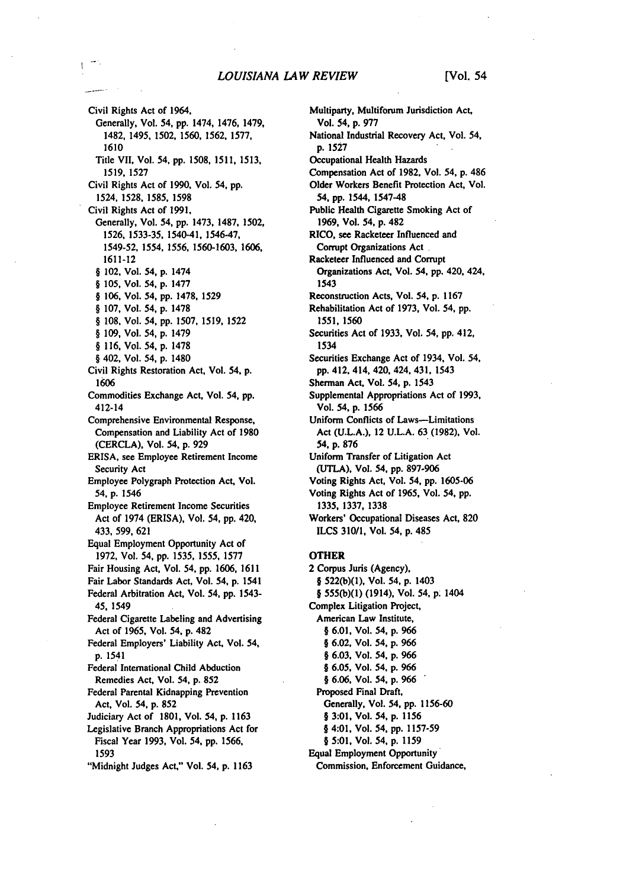Civil Rights Act of 1964, Generally, Vol. 54, **pp.** 1474, 1476, 1479, **1482,** 1495, **1502, 1560,** 1562, **1577,**  1610 Title VII, Vol. 54, pp. **1508, 1511, 1513, 1519,** 1527 Civil Rights Act of **1990,** Vol. 54, pp. **1524, 1528, 1585,** 1598 Civil Rights Act of 1991, Generally, Vol. 54, pp. 1473, **1487, 1502,**  1526, **1533-35,** 1540-41, 1546-47, 1549-52, 1554, 1556, 1560-1603, 1606, **1611-12**  § 102. Vol. 54, p. 1474 § 105, Vol. 54, p. **1477**  § **106,** Vol. 54, pp. **1478,** 1529 § **107,** Vol. 54, p. **1478**  § 108, Vol. 54, pp. **1507,** 1519, **1522**  § 109, Vol. 54, p. 1479 § **116,** Vol. 54, p. 1478 § 402, Vol. 54, p. 1480 Civil Rights Restoration Act, Vol. 54, p. **1606**  Commodities Exchange Act, Vol. 54, pp. 412-14 Comprehensive Environmental Response, Compensation and Liability Act of **1980**  (CERCLA), Vol. 54, p. **929**  ERISA, see Employee Retirement Income Security Act Employee Polygraph Protection Act, Vol. 54, p. 1546 Employee Retirement Income Securities Act of 1974 (ERISA), Vol. 54, pp. 420, **433,** 599,**621**  Equal Employment Opportunity Act of **1972,** Vol. **54,** pp. **1535, 1555, 1577**  Fair Housing Act, Vol. **54.** pp. 1606, **1611**  Fair Labor Standards Act, Vol. 54, p. 1541 Federal Arbitration Act, Vol. 54, pp. 1543- 45, 1549 Federal Cigarette Labeling and Advertising Act of 1965, Vol. 54, **p.** 482 Federal Employers' Liability Act, Vol. 54, **p. 1541**  Federal International Child Abduction Remedies Act, Vol. 54, **p. 852**  Federal Parental Kidnapping Prevention Act, Vol. 54, **p. 852**  Judiciary Act of **1801,** Vol. 54, **p. 1163**  Legislative Branch Appropriations Act for Fiscal Year **1993,** Vol. *54,* **pp. 1566, 1593**  "Midnight Judges Act," Vol. 54, **p. 1163** 

Multiparty, Multiforum Jurisdiction Act, Vol. 54, **p. 977**  National Industrial Recovery Act, Vol. 54, p. **1527**  Occupational Health Hazards Compensation Act of 1982, Vol. 54, p. 486 Older Workers Benefit Protection Act, Vol. **54,** pp. 1544, 1547-48 Public Health Cigarette Smoking Act of **1969,** Vol. 54, p. 482 RICO, see Racketeer Influenced and Corrupt Organizations Act Racketeer Influenced and Corrupt Organizations Act, Vol. 54, pp. 420, 424, 1543 Reconstruction Acts, Vol. 54, p. **1167**  Rehabilitation Act of **1973,** Vol. 54, pp. **1551,** 1560 Securities Act of **1933,** Vol. 54, pp. 412, 1534 Securities Exchange Act of 1934, Vol. 54, pp. 412. 414, 420,424,431, 1543 Sherman Act, Vol. **54,** p. 1543 Supplemental Appropriations Act of **1993,**  Vol. 54, **p.** 1566 Uniform Conflicts of Laws-Limitations Act **(U.L.A.),** 12 **U.L.A.** 63 (1982), Vol. 54, **p. 876**  Uniform Transfer of Litigation Act **(UTLA),** Vol. 54, **pp.** 897-906 Voting Rights Act, Vol. 54, **pp.** 1605-06 Voting Rights Act of 1965, Vol. 54, **pp.**  1335, **1337,** 1338 Workers' Occupational Diseases Act, **820**  ILCS **310/1,** Vol. 54, p. 485 **OTHER** 2 Corpus Juris (Agency), § 522(b)(1), Vol. 54, p. 1403 § 555(b)(1) (1914), Vol. 54, **p.** 1404 Complex Litigation Project, American Law Institute, § **6.01,** Vol. 54, p. 966 § **6.02,** Vol. 54, p. 966

- § **6.03,** Vol. 54, p. 966 § 6.05, Vol. 54, **p.** 966
- *§* 6.06, Vol. 54, p. 966
- Proposed Final Draft,
- Generally, Vol. 54, pp. 1156-60
- **§ 3:01,** Vol. 54, **p. 1156**
- § 4:01, Vol. **54,** pp. **1157-59**
- **§ 5:01,** Vol. 54, **p. 1159**  Equal Employment Opportunity Commission, Enforcement Guidance,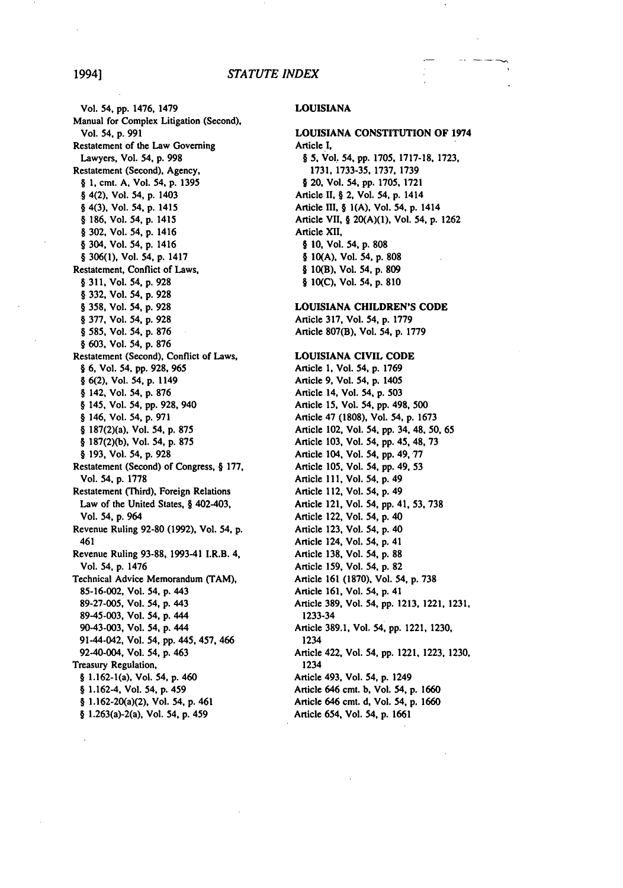### 1994] *STATUTE INDEX*

Vol. 54, **pp.** 1476, 1479 Manual for Complex Litigation (Second), Vol. 54, **p. 991**  Restatement of the Law Governing Lawyers, Vol. 54, **p. 998**  Restatement (Second), Agency, § **1,** cmt. **A,** Vol. **54, p. 1395**  § 4(2), Vol. 54, **p.** 1403 **§** 4(3), Vol. 54, **p.** 1415 **§ 186,** Vol. 54, **p.** 1415 § **302,** Vol. 54, **p.** 1416 § 304, Vol. 54, **p.** 1416 **§ 306(1),** Vol. 54, **p.** 1417 Restatement, Conflict of Laws, § **311,** Vol. 54, **p. 928**  § **332,** Vol. 54, **p. 928**  § **358,** Vol. 54, **p. 928**  § **377,** Vol. 54, **p. 928**  § **585,** Vol. 54, **p. 876**  § **603,** Vol. 54, **p. 876**  Restatement (Second), Conflict of Laws, § **6,** Vol. 54, **pp. 928, 965 § 6(2),** Vol. 54, **p.** 1149 § 142, Vol. 54, **p. 876**  § 145, Vol. 54, **pp. 928,** 940 **§** 146, Vol. 54, **p. 971**  § 187(2)(a), Vol. 54, **p. 875**  § **187(2)(b),** Vol. 54, **p. 875**  § **193,** Vol. 54, **p. 928**  Restatement (Second) **of** Congress, § **177,**  Vol. 54, **p. 1778**  Restatement (Third), Foreign Relations Law of the United States, § 402-403, Vol. 54, **p.** 964 Revenue Ruling **92-80 (1992),** Vol. 54, **p.**  461 Revenue Ruling **93-88,** 1993-41 I.R.B. 4, Vol. 54, **p.** 1476 Technical Advice Memorandum (TAM), **85-16-002,** Vol. 54, **p.** 443 **89-27-005,** Vol. 54, **p.** 443 89-45-003, Vol. 54, **p.** 444 90-43-003, Vol. 54, p. 444 91-44-042, Vol. 54, pp. 445, 457, 466 92-40-004, Vol. 54, p. 463 Treasury Regulation, § 1.162-1(a), Vol. 54, **p.** 460 § 1.162-4, Vol. 54, **p.** 459 § 1.162-20(a)(2), Vol. 54, p. 461 § 1.263(a)-2(a), Vol. 54, p. 459

### **LOUISIANA**

### **LOUISIANA CONSTITUTION** OF 1974 Article **I,**

§ **5,** Vol. **54, pp. 1705, 1717-18, 1723, 1731,** 1733-35, **1737, 1739**  § 20, Vol. 54, **pp. 1705, 1721**  Article II, § 2, Vol. 54, **p.** 1414 Article III, § **I(A),** Vol. 54, **p.** 1414 Article VII, § **20(A)(1),** Vol. **54, p. 1262**  Article XII, **§ 10,** Vol. 54, **p. 808 § 10(A),** Vol. 54, **p. 808**  § 10(B), Vol. 54, p. **809 § 10(C),** Vol. 54, **p. 810** 

### **LOUISIANA CHILDREN'S CODE**

Article **317,** Vol. 54, **p. 1779**  Article **807(B).** Vol. **54, p. 1779** 

### **LOUISIANA** CIVIL **CODE**

Article **1,** Vol. **54, p. 1769**  Article **9,** Vol. 54, **p.** 1405 Article 14, Vol. 54, **p. 503**  Article **15,** Vol. 54, **pp.** 498, **500**  Article 47 **(1808),** Vol. 54, **p. 1673**  Article 102, Vol. **54, pp. 34, 48, 50,** 65 Article **103,** Vol. 54, **pp.** 45, 48, **73**  Article 104, Vol. 54, **pp. 49, 77**  Article **105,** Vol. 54, **pp.** 49, 53 Article **111,** Vol. 54, **p.** 49 Article 112, Vol. 54, **p.** 49 Article 121, Vol. 54, **pp.** 41, **53, 738**  Article 122, Vol. 54, **p.** 40 Article **123,** Vol. 54, **p.** 40 Article 124, Vol. 54, **p.** 41 Article **138,** Vol. 54, **p. 88**  Article **159,** Vol. 54, **p. 82**  Article **161 (1870).** Vol. 54, **p. 738**  Article **161,** Vol. 54, **p.** 41 Article **389,** Vol. 54, **pp. 1213,** 1221, **1231,**  1233-34 Article **389.1,** Vol. 54, **pp.** 1221, **1230,**  1234 Article 422, Vol. 54, **pp.** 1221, **1223, 1230,**  1234 Article 493, Vol. 54, **p.** 1249 Article 646 cmt. **b,** Vol. 54, **p. 1660**  Article 646 cmt. **d,** Vol. 54, **p. 1660**  Article 654, Vol. **54, p. 1661**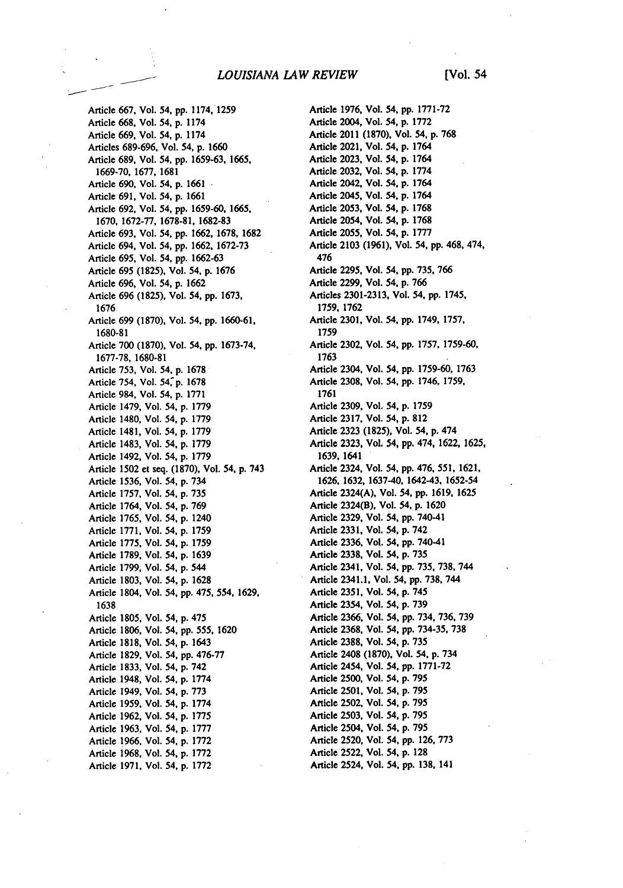Article 667, Vol. 54, pp. 1174, **1259**  Article **668,** Vol. 54, **p.** 1174 Article **669,** Vol. 54, **p.** 1174 Articles **689-696,** Vol. 54, **p. 1660**  Article **689,** Vol. 54, **pp. 1659-63, 1665, 1669-70, 1677, 1681**  Article **690,** Vol. 54, **p. 1661**  Article **691,** Vol. 54, **p. 1661**  Article **692,** Vol. 54, **pp. 1659-60, 1665, 1670, 1672-77, 1678-81, 1682-83**  Article **693,** Vol. 54, **pp. 1662, 1678, 1682**  Article 694, Vol. 54, **pp. 1662, 1672-73**  Article **695,** Vol. 54, **pp. 1662-63**  Article **695 (1825),** Vol. 54, **p. 1676**  Article **696,** Vol. 54, **p. 1662**  Article **696 (1825),** Vol. 54, **pp. 1673, 1676**  Article **699 (1870),** Vol. 54, **pp. 1660-61, 1680-81**  Article **700 (1870),** Vol. 54, **pp. 1673-74, 1677-78, 1680-81**  Article **753,** Vol. 54, **p. 1678**  Article 754, Vol. **54, p. 1678**  Article 984, Vol. 54, **p. 1771**  Article 1479, Vol. 54, **p. 1779**  Article 1480, Vol. 54, **p. 1779**  Article 1481, Vol. 54, **p. 1779**  Article 1483, Vol. 54, **p. 1779**  Article 1492, Vol. 54, **p. 1779**  Article **1502** et seq. **(1870),** Vol. 54, **p.** 743 Article **1536,** Vol. 54, **p.** 734 Article **1757,** Vol. 54, **p. 735**  Article 1764, Vol. 54, **p. 769**  Article **1765,** Vol. 54, **p.** 1240 Article **1771,** Vol. 54, **p. 1759**  Article **1775,** Vol. 54, **p. 1759**  Article **1789,** Vol. 54, **p. 1639**  Article **1799,** Vol. 54, **p.** 544 Article **1803,** Vol. 54, **p. 1628**  Article 1804, Vol. 54, **pp.** 475, 554, **1629, 1638**  Article **1805,** Vol. 54, **p.** 475 Article **1806,** Vol. 54, **pp.** 555, **1620**  Article **1818,** Vol. 54, **p.** 1643 Article **1829,** Vol. 54, **pp. 476-77**  Article **1833,** Vol. **54, p.** 742 Article 1948, Vol. 54, **p. 1774**  Article 1949, Vol. 54, **p. 773**  Article **1959,** Vol. 54, **p. 1774**  Article **1962,** Vol. 54, **p. 1775**  Article **1963,** Vol. 54, **p. 1777**  Article **1966,** Vol. 54, **p. 1772**  Article i968, Vol. **54, p. 1772**  Article **1971,** Vol. 54, **p. 1772** 

Article **1976,** Vol. 54, **pp. 1771-72**  Article 2004, Vol. 54, **p. 1772**  Article 2011 **(1870),** Vol. 54, **p. 768**  Article 2021, Vol. 54, **p.** 1764 Article **2023,** Vol. 54, **p.** 1764 Article **2032,** Vol. 54, **p. 1774**  Article 2042, Vol. 54, **p.** 1764 Article 2045, Vol. 54, **p.** 1764 Article **2053,** Vol. 54, **p. 1768**  Article 2054, Vol. 54, **p. 1768**  Article **2055,** Vol. 54, **p. 1777**  Article **2103 (1961),** Vol. 54, **pp.** 468, 474, 476 Article **2295,** Vol. 54, **pp. 735, 766**  Article **2299,** Vol. **54, p. 766**  Articles **2301-2313,** Vol. 54, **pp.** 1745, **1759, 1762**  Article **2301,** Vol. 54, **pp.** 1749, **1757, 1759**  Article **2302,** Vol. 54, **pp. 1757, 1759-60, 1763**  Article 2304, Vol. 54, **pp. 1759-60, 1763**  Article **2308,** Vol. 54, **pp.** 1746, **1759, 1761**  Article **2309,** Vol. 54, **p. 1759**  Article **2317,** Vol. 54, **p. 812**  Article **2323 (1825),** Vol. 54, **p.** 474 Article **2323,** Vol. 54, **pp.** 474, **1622, 1625, 1639,** 1641 Article 2324, Vol. 54, **pp.** 476, **551, 1621, 1626, 1632, 1637-40,** 1642-43, **1652-54**  Article 2324(A), Vol. 54, **pp. 1619, 1625**  Article 2324(B), Vol. **54, p. 1620**  Article **2329,** Vol. 54, **pp.** 740-41 Article **2331,** Vol. 54, **p.** 742 Article **2336,** Vol. 54, **pp.** 740-41 Article **2338,** Vol. 54, **p. 735**  Article 2341, Vol. 54, **pp. 735, 738,** 744 Article 2341.1, Vol. 54, **pp. 738,** 744 Article **2351,** Vol. 54, **p.** 745 Article 2354, Vol. **54, p. 739**  Article **2366,** Vol. 54, **pp.** 734, **736, 739**  Article **2368,** Vol. 54, **pp. 734-35, 738**  Article **2388,** Vol. **54, p. 735**  Article 2408 **(1870),** Vol. 54, **p.** 734 Article 2454, Vol. 54, **pp. 1771-72**  Article **2500,** Vol. 54, **p. 795**  Article **2501,** Vol. 54, **p. 795**  Article **2502,** Vol. 54, **p. 795**  Article **2503,** Vol. 54, **p. 795**  Article 2504, Vol. 54, **p. 795**  Article **2520,** Vol. 54, **pp. 126, 773**  Article **2522,** Vol. 54, **p. 128**  Article 2524, Vol. 54, **pp. 138,** 141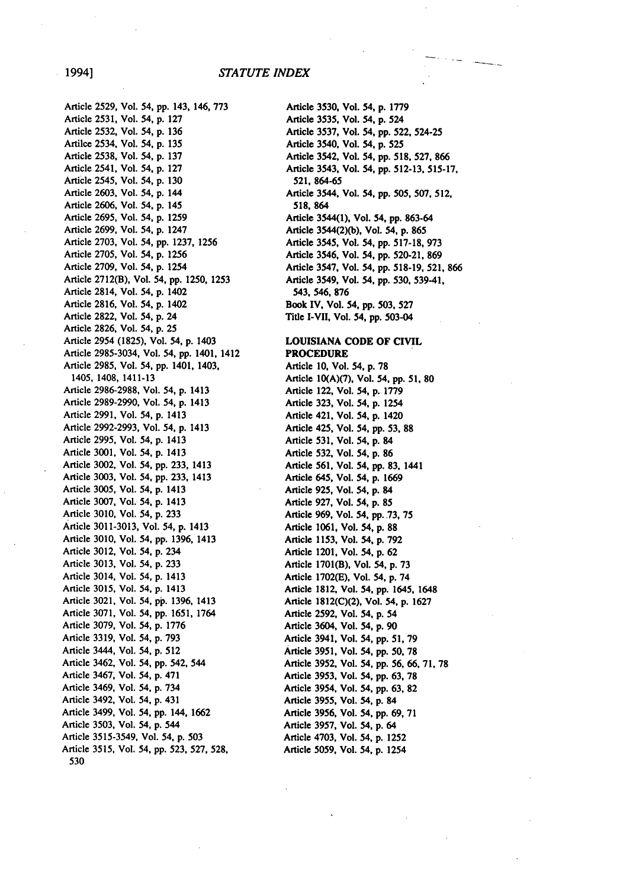## 19941 *STATUTE INDEX*

Article **2529,** Vol. 54, **pp.** 143, 146, **773**  Article **2531,** Vol. 54, **p. 127**  Article **2532,** Vol. 54, **p. 136**  Artilce 2534, Vol. 54, **p. 135**  Article **2538,** Vol. 54, **p. 137**  Article 2541, Vol. 54, **p. 127**  Article 2545, Vol. 54, **p. 130**  Article **2603,** Vol. 54, **p.** 144 Article **2606,** Vol. 54, **p.** 145 Article **2695,** Vol. 54, **p. 1259**  Article **2699,** Vol. 54, **p.** 1247 Article **2703,** Vol. 54, **pp. 1237, 1256**  Article **2705,** Vol. 54, **p. 1256**  Article **2709,** Vol. 54, **p.** 1254 Article **2712(B),** Vol. 54, **pp. 1250, 1253**  Article 2814, Vol. 54, **p.** 1402 Article **2816,** Vol. 54, **p.** 1402 Article **2822,** Vol. 54, **p.** 24 Article **2826,** Vol. 54, **p. 25**  Article 2954 **(1825),** Vol. 54, **p.** 1403 Article **2985-3034,** Vol. 54, **pp.** 1401, 1412 Article **2985,** Vol. 54, **pp.** 1401, 1403, 1405, 1408, 1411-13 Article **2986-2988,** Vol. 54, **p.** 1413 Article **2989-2990,** Vol. 54, **p.** 1413 Article **2991,** Vol. 54, **p.** 1413 Article **2992-2993,** Vol. 54, **p.** 1413 Article **2995,** Vol. 54, **p.** 1413 Article **3001,** Vol. 54, **p.** 1413 Article **3002,** Vol. 54, **pp. 233,** 1413 Article **3003,** Vol. 54, **pp. 233,** 1413 Article **3005,** Vol. 54, **p.** 1413 Article **3007,** Vol. 54, **p.** 1413 Article **3010,** Vol. 54, **p. 233**  Article **3011-3013,** Vol. 54, **p.** 1413 Article **3010,** Vol. 54, **pp. 1396,** 1413 Article **3012,** Vol. 54, **p.** 234 Article **3013,** Vol. 54, **p. 233**  Article 3014, Vol. 54, **p.** 1413 Article **3015,** Vol. 54, **p.** 1413 Article **3021,** Vol. 54, **pp. 1396,** 1413 Article **3071,** Vol. 54, **pp. 1651,** 1764 Article **3079,** Vol. 54, **p. 1776**  Article **3319,** Vol. 54, **p. 793**  Article 3444, Vol. 54, **p. 512**  Article 3462, Vol. 54, pp. 542, 544 Article 3467, Vol. 54, p. 471 Article 3469, Vol. 54, p. 734 Article 3492, Vol. 54, p. 431 Article 3499, Vol. 54, pp. 144, 1662 Article 3503, Vol. 54, p. 544 Article 3515-3549, Vol. 54, p. 503 Article 3515, Vol. 54, pp. 523, **527,** 528, **530** 

Article **3530,** Vol. 54, **p. 1779**  Article 3535, Vol. 54, **p.** 524 Article **3537,** Vol. **54, pp. 522,** 524-25 Article 3540, Vol. **54, p. 525**  Article 3542, Vol. 54, **pp. 518, 527, 866**  Article 3543, Vol. 54, **pp. 512-13, 515-17, 521,864-65**  Article 3544, Vol. 54, **pp. 505, 507, 512, 518, 864**  Article 3544(1), Vol. 54, **pp.** 863-64 Article 3544(2)(b), Vol. 54, **p. 865**  Article 3545, Vol. 54, **pp. 517-18, 973**  Article 3546, Vol. 54, **pp. 520-21, 869**  Article **3547,** Vol. 54, **pp. 518-19, 521, 866**  Article 3549, Vol. 54, **pp. 530,** 539-41, 543, 546, **876 Book IV, Vol. 54, pp. 503, 527**  Title I-VII, Vol. 54, **pp.** 503-04

### **LOUISIANA CODE OF CIVIL**  PROCEDURE

Article **10,** Vol. 54, **p. 78**  Article **10(A)(7),** Vol. **54, pp. 51, 80**  Article 122, Vol. 54, **p. 1779**  Article **323,** Vol. *54,* **p.** 1254 Article 421, Vol. **54, p.** 1420 Article 425, Vol. 54, **pp. 53, 88**  Article **531,** Vol. 54, **p.** 84 Article **532,** Vol. 54, **p. 86**  Article **561,** Vol. 54, **pp. 83,** 1441 Article 645, Vol. 54, **p.** 1669 Article **925,** Vol. 54, **p. 84**  Article **927,** Vol. 54, **p. 85**  Article 969, Vol. 54, **pp..73, 75**  Article **1061,** Vol. 54, **p. 88**  Article **1153,** Vol. 54, **p. 792**  Article 1201, Vol. 54, **p. 62**  Article **1701(B),** Vol. 54, **p. 73**  Article **1702(E),** Vol. 54, **p.** 74 Article **1812,** Vol. 54, **pp.** 1645, 1648 Article **1812(C)(2),** Vol. 54, **p. 1627**  Article **2592,** Vol. 54, **p.** 54 Article 3604, Vol. 54, **p. 90**  Article 3941, Vol. 54, **pp. 51, 79**  Article 3951, Vol. 54, **pp. 50, 78**  Article 3952, Vol. 54, **pp. 56, 66, 71, 78**  Article 3953, Vol. 54, **pp. 63, 78**  Article 3954, Vol. 54, **pp. 63, 82**  Article 3955, Vol. 54, **p.** 84 Article 3956, Vol. 54, **pp. 69, 71**  Article **3957,** Vol. 54, **p.** 64 Article 4703, Vol. 54, **p. 1252**  Article **5059,** Vol. 54, **p.** 1254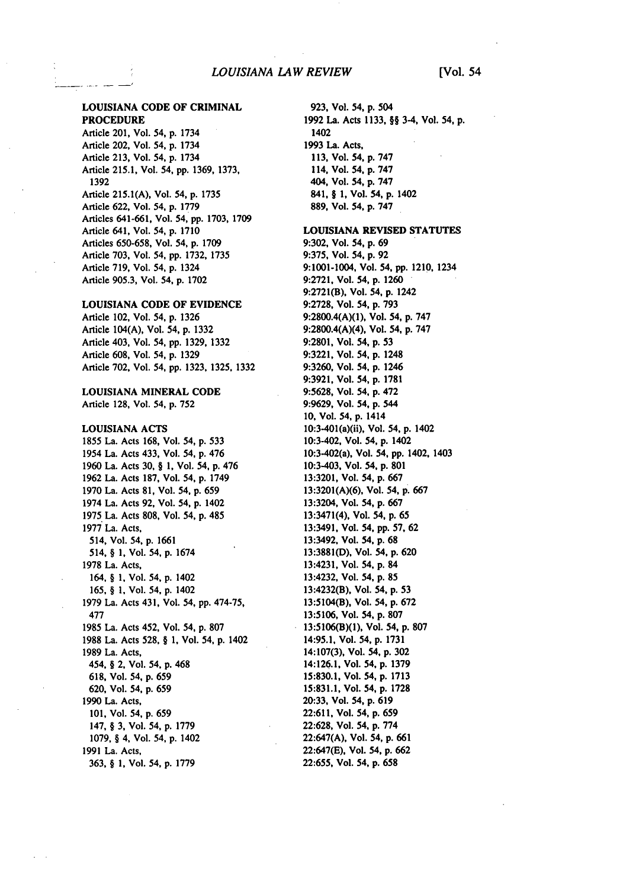Article 201, Vol. 54, **p.** 1734 Article 202, Vol. 54, **p.** 1734 Article **213,** Vol. 54, **p.** 1734 Article 215.1, Vol. 54, **pp. 1369, 1373, 1392**  Article 215.1(A), Vol. 54, **p. 1735**  Article **622,** Vol. 54, **p. 1779**  Articles **641-661,** Vol. 54, **pp. 1703, 1709**  Article 641, Vol. 54, **p. 1710**  Articles **650-658,** Vol. 54, **p. 1709**  Article **703,** Vol. 54, **pp.** 1732, **1735**  Article **719,** Vol. 54, **p.** 1324 Article 905.3, Vol. 54, **p. 1702** 

### LOUISIANA **CODE** OF EVIDENCE

Article 102, Vol. 54, **p. 1326**  Article 104(A), Vol. 54, **p. 1332**  Article 403, Vol. 54, **pp. 1329, 1332**  Article **608,** Vol. 54, **p.** 1329 Article **702,** Vol. 54, **pp. 1323. 1325, 1332** 

LOUISIANA MINERAL **CODE**  Article **128,** Vol. 54, **p. 752** 

LOUISIANA **ACTS 1855** La. Acts 168, Vol. 54, **p.** 533 1954 La. Acts 433, Vol. 54, **p.** 476 **1960** La. Acts **30,** § **1,** Vol. 54, **p.** 476 **1962** La. Acts **187,** Vol. 54, **p.** 1749 **1970** La. Acts **81,** Vol. 54, **p. 659**  1974 La. Acts **92,** Vol. 54, **p.** 1402 **1975** La. Acts **808,** Vol. 54, **p.** 485 **1977** La. Acts, 514, Vol. **54,p. 1661**  514, § **1,** Vol. 54, **p.** 1674 **1978** La. Acts, 164, § **1,** Vol. 54, **p.** 1402 **165,** § **1,** Vol. 54, **p.** 1402 **1979** La. Acts 431, Vol. 54, **pp.** 474-75, **477 1985** La. Acts 452, Vol. 54, **p. 807 1988** La. Acts **528,** § **1,** Vol. 54, **p.** 1402 **1989** La. Acts, 454, **§** 2, Vol. 54, **p.** 468 **618,** Vol. 54, p. 659 620, Vol. 54, p. 659 1990 La. Acts, 101, Vol. 54, p. 659 147, § **3,** Vol. 54, p. 1779 1079, § 4, Vol. 54, p. 1402 1991 La. Acts, 363, § **1,** Vol. 54, p. 1779

**923,** Vol. 54, p. 504 **1992** La. Acts **1133,** §§ 3-4, Vol. 54, **p.**  1402 **1993** La. Acts, **113,** Vol. 54, **p. 747**  114, Vol. **54, p. 747**  404, Vol. 54, **p. 747**  841, § **1,** Vol. 54, **p.** 1402 **889,** Vol. 54, **p. 747** 

**LOUISIANA REVISED STATUTES 9:302,** Vol. 54, **p. 69 9:375,** Vol. 54, **p. 92**  9:1001-1004, Vol. **54, pp.** 1210, 1234 **9:2721,** Vol. 54, **p. 1260 9:2721(B),** Vol. 54, **p.** 1242 **9:2728,** Vol. 54, **p. 793 9:2800.4(A)(1),** Vol. 54, **p. 747**  9:2800.4(A)(4), Vol. 54, **p. 747 9:2801,** Vol. 54, **p.** 53 **9:3221,** Vol. 54, **p.** 1248 **9:3260,** Vol. 54, **p.** 1246 **9:3921,** Vol. 54, **p. 1781 9:5628,** Vol. 54, **p.** 472 **9:9629,** Vol. 54, **p.** 544 **10,** Vol. 54, **p.** 1414 10:3-401(a)(ii), Vol. 54, **p.** 1402 10:3-402, Vol. 54, **p.** 1402 10:3-402(a), Vol. 54, **pp.** 1402, 1403 10:3-403, Vol. **54, p. 801 13:3201,** Vol. 54, **p. 667 13:3201(A)(6),** Vol. 54, **p. 667**  13:3204, Vol. 54, **p. 667**  13:3471(4), Vol. 54, **p.** 65 13:3491, Vol. 54, **pp. 57, 62**  13:3492. Vol. 54, **p.** 68 **13:3881(D),** Vol. 54, **p. 620**  13:4231, Vol. 54, **p.** 84 13:4232, Vol. 54, **p. 85**  13:4232(B), Vol. **54, p.** 53 13:5104(B), Vol. 54, **p. 672**  13:5106, Vol. 54, **p. 807 13:5106(B)(1),** Vol. 54, **p. 807**  14:95.1, Vol. 54, **p. 1731**  14:107(3), Vol. 54, **p. 302**  14:126.1, Vol. 54, **p. 1379 15:830.1,** Vol. 54, **p. 1713 15:831.1,** Vol. 54, **p. 1728 20:33,** Vol. 54, **p. 619 22:611,** Vol. 54, **p. 659 22:628,** Vol. 54, **p. 774 22:647(A),** Vol. 54, **p. 661 22:647(E),** Vol. 54, **p. 662 22:655,** Vol. 54, **p. 658**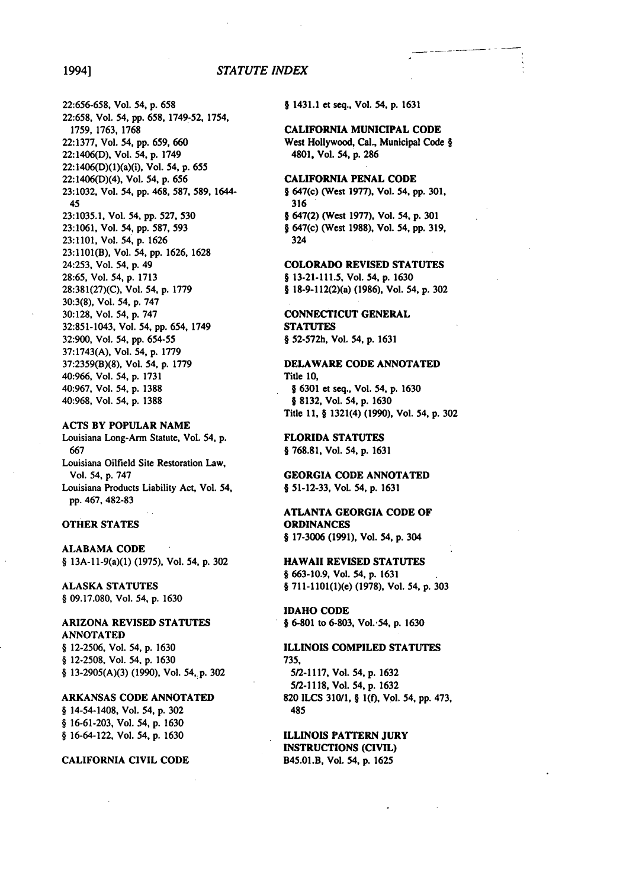### 1994] *STATUTE INDEX*

22:656-658, Vol. 54, **p. 658**  22:658, Vol. 54, pp. 658, 1749-52, 1754, 1759, 1763, 1768 22:1377, Vol. 54, **pp.** 659, 660 22:1406(D), Vol. 54, **p.** 1749 22:1406(D)(l)(a)(i), Vol. 54, **p.** 655 22:1406(D)(4), Vol. 54, **p. 656 23:1032,** Vol. 54, **pp.** 468, **587, 589,** 1644- 45 **23:1035.1,** Vol. 54, **pp. 527, 530 23:1061,** Vol. 54, **pp. 587, 593 23:1101,** Vol. 54, **p. 1626 23:1101(B),** Vol. 54, **pp. 1626, 1628**  24:253, Vol. 54, **p.** 49 **28:65,** Vol. 54, **p. 1713 28:381(27)(C),** Vol. 54, **p. 1779 30:3(8),** Vol. 54, **p. 747 30:128,** Vol. 54, **p. 747 32:851-1043,** Vol. 54, **pp.** 654, 1749 32:900, Vol. 54, **pp.** 654-55 37:1743(A), Vol. 54, p. 1779 37:2359(B)(8), Vol. 54, p. 1779 40:966, Vol. 54, p. 1731 40:967, Vol. 54, p. **1388**  40:968, Vol. 54, p. 1388

**ACTS** BY POPULAR **NAME**  Louisiana Long-Arm Statute, Vol. 54, **p. 667**  Louisiana Oilfield Site Restoration Law, Vol. 54, **p. 747**  Louisiana Products Liability Act, Vol. 54, **pp.** 467, **482-83** 

### OTHER **STATES**

**ALABAMA CODE**  § 13A-11-9(a)(1) **(1975),** Vol. 54, **p. 302** 

**ALASKA STATUTES**  § **09.17.080,** Vol. 54, **p. 1630** 

### ARIZONA REVISED **STATUTES ANNOTATED**  § **12-2506,** Vol. 54, **p. 1630**

§ **12-2508,** Vol. 54, **p. 1630**  § 13-2905(A)(3) (1990), Vol. **54,,p.** 302

### ARKANSAS **CODE** ANNOTATED

§ 14-54-1408, Vol. 54, p. 302 § 16-61-203, Vol. 54, p. 1630 § 16-64-122, Vol. 54, p. 1630

### **CALIFORNIA** CIVIL **CODE**

§ 1431.1 et seq., Vol. 54, **p. 1631** 

**CALIFORNIA** MUNICIPAL **CODE**  West Hollywood, Cal., Municipal Code § 4801, Vol. 54, **p. 286** 

### CALIFORNIA **PENAL CODE**

§ 647(c) (West **1977),** Vol. 54, **pp. 301, 316**  § 647(2) (West **1977),** Vol. 54, **p. 301** 

§ 647(c) (West **1988),** Vol. 54, **pp. 319,**  324

### COLORADO REVISED **STATUTES**

§ **13-21-111.5,** Vol. 54, **p. 1630 §** 18-9-112(2)(a) **(1986),** Vol. 54, **p. 302** 

**CONNECTICUT GENERAL STATUTES**  § **52-572h,** Vol. 54, **p. 1631** 

### DELAWARE **CODE ANNOTATED**  Title **10,**

§ **6301 et** seq., Vol. 54, **p. 1630**  § **8132,** Vol. 54, **p. 1630**  Title **11,** § 1321(4) **(1990),** Vol. 54, **p. 302** 

FLORIDA **STATUTES § 768.81,** Vol. 54, **p. 1631** 

**GEORGIA CODE ANNOTATED**  § **51-12-33, Vol.** 54, **p. 1631** 

## **ATLANTA** GEORGIA **CODE** OF **ORDINANCES**

**§ 17-3006 (1991),** Vol. 54, **p.** 304

HAWAII REVISED **STATUTES § 663-10.9,** Vol. 54, **p. 1631 § 711-1101(1)(e) (1978),** Vol. 54, **p. 303** 

IDAHO **CODE § 6-801** to **6-803,** Vol.. **54, p. 1630** 

### ILLINOIS COMPILED **STATUTES 735,**

**5/2-1117,** Vol. 54, **p. 1632 5/2-1118,** Vol. 54, **p.** 1632 **820 ILCS 310/1,** § **1(f),** Vol. 54, **pp.** 473, 485

ILLINOIS PATTERN **JURY**  INSTRUCTIONS (CIVIL) B45.01.B, Vol. 54, **p. 1625**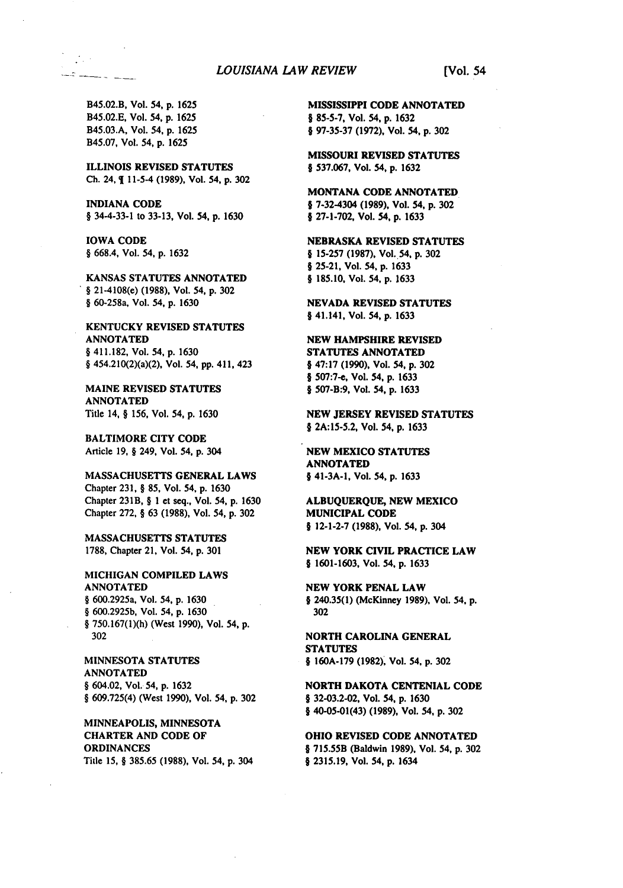B45.02.B, Vol. 54, **p. 1625**  B45.02.E, Vol. 54, **p. 1625**  B45.03.A, Vol. 54, **p. 1625**  B45.07, Vol. 54, **p. 1625** 

 $\mathcal{L}^{\text{max}}_{\text{max}}$ <u> 2000 - 200</u>

> **ILLINOIS REVISED STATUTES Ch.** 24, 1 11-5-4 **(1989),** Vol. 54, **p. 302**

INDIANA **CODE**  § 34-4-33-1 to 33-13, Vol. 54, **p. 1630** 

**IOWA CODE**  § **668.4,** Vol. 54, **p. 1632** 

**KANSAS STATUTES ANNOTATED**  § 21-4108(e) **(1988),** Vol. 54, **p. 302**  § 60-258a, Vol. 54, **p. 1630** 

**KENTUCKY** REVISED **STATUTES ANNOTATED**  § 411.182, Vol. 54, **p.** 1630 § 454.210(2)(a)(2), Vol. 54, **pp.** 411, 423

**MAINE REVISED STATUTES ANNOTATED**  Title 14, § **156,** Vol. 54, **p. 1630** 

**BALTIMORE CITY CODE**  Article **19,** § 249, Vol. **54, p.** 304

**MASSACHUSETTS GENERAL** LAWS Chapter **231,** § **85,** Vol. 54, **p. 1630**  Chapter 231B, § **1** et seq., Vol. 54, **p. 1630**  Chapter **272,** § 63 **(1988),** Vol. 54, **p.302** 

**MASSACHUSETTS STATUTES 1788,** Chapter 21, Vol. 54, **p. 301** 

MICHIGAN COMPILED LAWS **ANNOTATED**  § 600.2925a, Vol. 54, **p. 1630**  § **600.2925b,** Vol. 54, **p. 1630**  § **750.167(1)(h)** (West **1990),** Vol. 54, **p. 302** 

**MINNESOTA STATUTES ANNOTATED**  § 604.02, Vol. 54, **p. 1632**  § **609.725(4)** (West **1990),** Vol. 54, **p.302** 

MINNEAPOLIS, MINNESOTA **CHARTER AND CODE OF ORDINANCES**  Title **15,** § **385.65 (1988),** Vol. 54, **p.** 304 **MISSISSIPPI CODE ANNOTATED § 85-5-7,** Vol. **54, p.** 1632 § **97-35-37 (1972),** Vol. **54, p. 302** 

**MISSOURI REVISED STATUTES**  § **537.067,** Vol. 54, **p. 1632** 

**MONTANA CODE ANNOTATED §** 7-32-4304 **(1989),** Vol. 54, **p.302**  § **27-1-702,** Vol. 54, **p.** 1633

NEBRASKA REVISED **STATUTES**  § **15-257 (1987),** Vol. **54, p. 302 § 25-21,** Vol. 54, **p.** 1633 *§* **185.10,** Vol. 54, **p.** 1633

**NEVADA REVISED STATUTES**  § 41.141, Vol. 54, **p.** 1633

**NEW** HAMPSHIRE REVISED **STATUTES ANNOTATED § 47:17 (1990),** Vol. 54, **p. 302**  § **507:7-e,** Vol. 54, **p.** 1633 **§ 507-B:9,** Vol. 54, **p.** 1633

**NEW** JERSEY REVISED **STATUTES**  § **2A:15-5.2,** Vol. 54, **p.** 1633

**NEW MEXICO STATUTES ANNOTATED §** 41-3A-1, Vol. 54, **p.** 1633

**ALBUQUERQUE, NEW MEXICO MUNICIPAL CODE § 12-1-2-7 (1988),** Vol. 54, **p.** 304

**NEW** YORK CIVIL PRACTICE LAW § **1601-1603,** Vol. **54, p.** 1633

**NEW YORK PENAL LAW**  *§* 240.35(1) (McKinney **1989),** Vol. 54. **p. 302** 

NORTH CAROLINA **GENERAL STATUTES**  § **160A-179 (1982),** Vol. 54, **p. 302** 

**NORTH DAKOTA CENTENIAL CODE**  § **32-03.2-02,** Vol. 54, **p. 1630 §** 40-05-01(43) **(1989),** Vol. 54, **p. 302** 

**OHIO REVISED CODE ANNOTATED**  § **715.55B** (Baldwin **1989).** Vol. 54, **p.302**  § **2315.19,** Vol. 54, **p.** 1634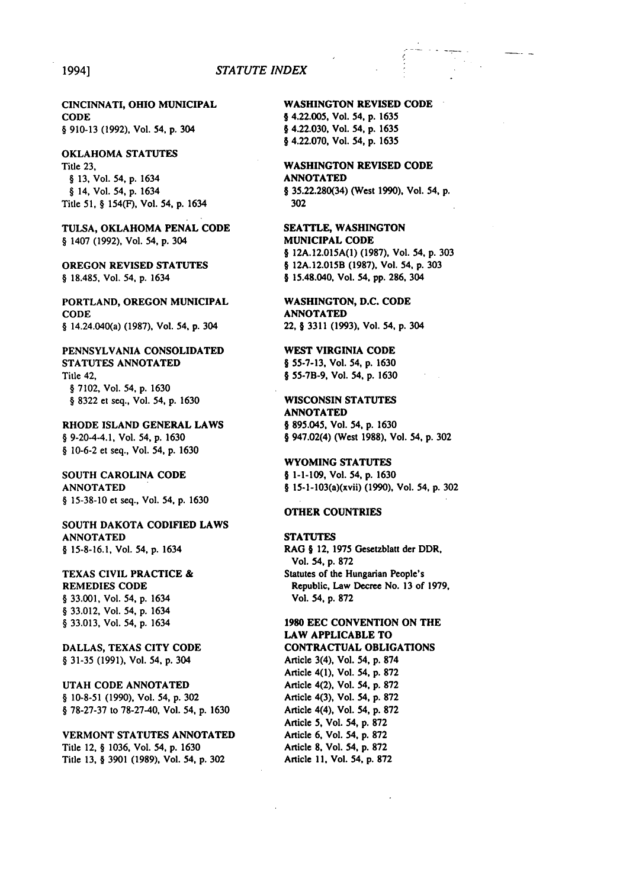### 1994] *STATUTE INDEX*

**CINCINNATI,** OHIO MUNICIPAL **CODE**  § 910-13 **(1992),** Vol. 54, **p.** 304

### OKLAHOMA **STATUTES**  Title **23,**  § **13,** Vol. 54, **p.** 1634 § 14, Vol. 54, **p.** 1634 Title **51,** § 154(F), Vol. 54, **p.** 1634

**TULSA,** OKLAHOMA **PENAL CODE**  § 1407 **(1992),** Vol. 54, **p.** 304

**OREGON** REVISED **STATUTES**  § **18.485,** Vol. 54, **p.** 1634

PORTLAND, **OREGON** MUNICIPAL **CODE**  § 14.24.040(a) **(1987),** Vol. 54, **p.** 304

PENNSYLVANIA CONSOLIDATED **STATUTES ANNOTATED**  Title 42, § **7102,** Vol. 54, **p.** 1630 § **8322** et seq., Vol. 54, **p. 1630** 

RHODE **ISLAND GENERAL** LAWS § 9-20-4-4.1, Vol. 54, **p. 1630**  § **10-6-2** et seq., Vol. 54, **p. 1630** 

**SOUTH CAROLINA CODE ANNOTATED**  § **15-38-10** et seq., Vol. 54, **p.** 1630

**SOUTH** DAKOTA **CODIFIED** LAWS **ANNOTATED § 15-8-16.1,** Vol. 54, **p.** 1634

**TEXAS** CIVIL PRACTICE & REMEDIES **CODE**  § 33.001, Vol. 54, **p.** 1634 § 33.012, Vol. 54, p. 1634 § 33.013, Vol. 54, p. 1634

DALLAS, TEXAS CITY **CODE**  § 31-35 (1991), Vol. 54, p. 304

UTAH CODE **ANNOTATED**  § 10-8-51 (1990), Vol. 54, p. 302 § 78-27-37 to 78-27-40, Vol. 54, p. 1630

VERMONT STATUTES **ANNOTATED**  Title 12, § 1036, Vol. 54, **p.** 1630 Title 13, § 3901 (1989), Vol. 54, **p.** 302

WASHINGTON REVISED **CODE §** 4.22.005, Vol. 54, **p.** 1635 § 4.22.030, Vol. 54, **p.** 1635 § 4.22.070, Vol. 54, **p.** 1635

WASHINGTON REVISED **CODE ANNOTATED**  § **35.22.280(34)** (West **1990),** Vol. 54, **p. 302** 

**SEATTLE, WASHINGTON MUNICIPAL CODE**  § **12A.12.015A(1) (1987).** Vol. 54, **p. 303**  § **12A.12.015B (1987),** Vol. **54, p. 303**  § 15.48.040, Vol. 54, **pp. 286,** 304

WASHINGTON, **D.C. CODE ANNOTATED**  22, § **3311 (1993),** Vol. 54, **p.** 304

WEST VIRGINIA **CODE**  § **55-7-13,** Vol. 54, **p. 1630 § 55-7B-9,** Vol. 54, **p. 1630** 

WISCONSIN **STATUTES ANNOTATED § 895.045,** Vol. **54, p. 1630**  § 947.02(4) (West **1988),** Vol. 54, **p. 302** 

WYOMING **STATUTES § 1-1-109,** Vol. **54, p. 1630**  § 15-1-103(a)(xvii) **(1990),** Vol. 54, **p. 302** 

### OTHER **COUNTRIES**

**STATUTES**  RAG § 12, **1975** Gesetzblatt der DDR, Vol. 54, **p. 872**  Statutes **of** the Hungarian People's Republic, Law Decree No. **13 of 1979,**  Vol. 54, **p. 872** 

**1980 EEC CONVENTION ON** THE LAW APPLICABLE TO **CONTRACTUAL** OBLIGATIONS Article 3(4), Vol. 54, **p. 874**  Article 4(1), Vol. 54, **p. 872**  Article 4(2), Vol. 54, **p. 872**  Article 4(3), Vol. 54, **p. 872**  Article 4(4), Vol. 54, **p. 872**  Article **5,** Vol. 54, **p. 872**  Article **6,** Vol. **54, p. 872**  Article **8,** Vol. 54, **p. 872** 

Article **11.** Vol. 54, **p. 872**